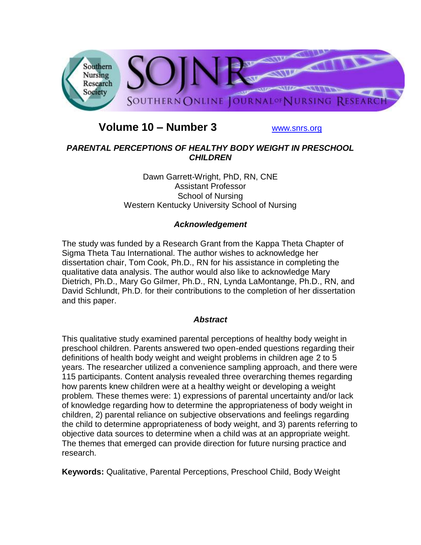

# **Volume 10 – Number 3** [www.snrs.org](http://www.snrs.org/)

## *PARENTAL PERCEPTIONS OF HEALTHY BODY WEIGHT IN PRESCHOOL CHILDREN*

Dawn Garrett-Wright, PhD, RN, CNE Assistant Professor School of Nursing Western Kentucky University School of Nursing

## *Acknowledgement*

The study was funded by a Research Grant from the Kappa Theta Chapter of Sigma Theta Tau International. The author wishes to acknowledge her dissertation chair, Tom Cook, Ph.D., RN for his assistance in completing the qualitative data analysis. The author would also like to acknowledge Mary Dietrich, Ph.D., Mary Go Gilmer, Ph.D., RN, Lynda LaMontange, Ph.D., RN, and David Schlundt, Ph.D. for their contributions to the completion of her dissertation and this paper.

#### *Abstract*

This qualitative study examined parental perceptions of healthy body weight in preschool children. Parents answered two open-ended questions regarding their definitions of health body weight and weight problems in children age 2 to 5 years. The researcher utilized a convenience sampling approach, and there were 115 participants. Content analysis revealed three overarching themes regarding how parents knew children were at a healthy weight or developing a weight problem. These themes were: 1) expressions of parental uncertainty and/or lack of knowledge regarding how to determine the appropriateness of body weight in children, 2) parental reliance on subjective observations and feelings regarding the child to determine appropriateness of body weight, and 3) parents referring to objective data sources to determine when a child was at an appropriate weight. The themes that emerged can provide direction for future nursing practice and research.

**Keywords:** Qualitative, Parental Perceptions, Preschool Child, Body Weight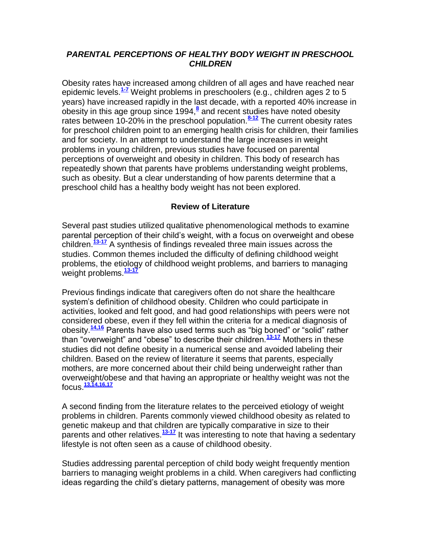#### *PARENTAL PERCEPTIONS OF HEALTHY BODY WEIGHT IN PRESCHOOL CHILDREN*

Obesity rates have increased among children of all ages and have reached near epidemic levels.**[1-7](http://snrs.org/publications/SOJNR_articles2/n)** Weight problems in preschoolers (e.g., children ages 2 to 5 years) have increased rapidly in the last decade, with a reported 40% increase in obesity in this age group since 1994,**[8](http://snrs.org/publications/SOJNR_articles2/n)** and recent studies have noted obesity rates between 10-20% in the preschool population.**[8-12](http://snrs.org/publications/SOJNR_articles2/n)** The current obesity rates for preschool children point to an emerging health crisis for children, their families and for society. In an attempt to understand the large increases in weight problems in young children, previous studies have focused on parental perceptions of overweight and obesity in children. This body of research has repeatedly shown that parents have problems understanding weight problems, such as obesity. But a clear understanding of how parents determine that a preschool child has a healthy body weight has not been explored.

## **Review of Literature**

Several past studies utilized qualitative phenomenological methods to examine parental perception of their child's weight, with a focus on overweight and obese children.**[13-17](http://snrs.org/publications/SOJNR_articles2/n)** A synthesis of findings revealed three main issues across the studies. Common themes included the difficulty of defining childhood weight problems, the etiology of childhood weight problems, and barriers to managing weight problems.**[13-17](http://snrs.org/publications/SOJNR_articles2/n)**

Previous findings indicate that caregivers often do not share the healthcare system's definition of childhood obesity. Children who could participate in activities, looked and felt good, and had good relationships with peers were not considered obese, even if they fell within the criteria for a medical diagnosis of obesity.**[14,16](http://snrs.org/publications/SOJNR_articles2/n)** Parents have also used terms such as "big boned" or "solid" rather than "overweight" and "obese" to describe their children.**[13-17](http://snrs.org/publications/SOJNR_articles2/n)** Mothers in these studies did not define obesity in a numerical sense and avoided labeling their children. Based on the review of literature it seems that parents, especially mothers, are more concerned about their child being underweight rather than overweight/obese and that having an appropriate or healthy weight was not the focus.**[13,14,16,17](http://snrs.org/publications/SOJNR_articles2/n)**

A second finding from the literature relates to the perceived etiology of weight problems in children. Parents commonly viewed childhood obesity as related to genetic makeup and that children are typically comparative in size to their parents and other relatives.<sup>[13-17](http://snrs.org/publications/SOJNR_articles2/n)</sup> It was interesting to note that having a sedentary lifestyle is not often seen as a cause of childhood obesity.

Studies addressing parental perception of child body weight frequently mention barriers to managing weight problems in a child. When caregivers had conflicting ideas regarding the child's dietary patterns, management of obesity was more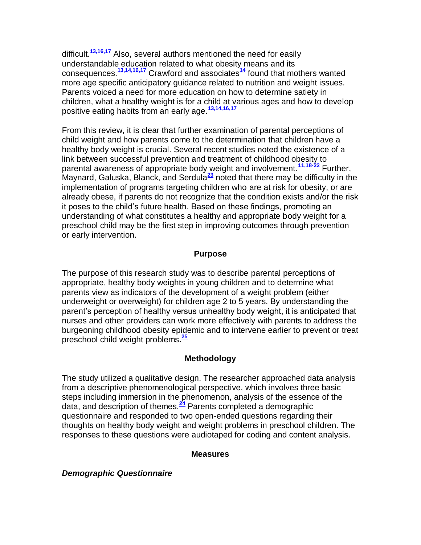difficult.**[13,16,17](http://snrs.org/publications/SOJNR_articles2/n)** Also, several authors mentioned the need for easily understandable education related to what obesity means and its consequences.**[13,14,16,17](http://snrs.org/publications/SOJNR_articles2/n)** Crawford and associates**[14](http://snrs.org/publications/SOJNR_articles2/n)** found that mothers wanted more age specific anticipatory guidance related to nutrition and weight issues. Parents voiced a need for more education on how to determine satiety in children, what a healthy weight is for a child at various ages and how to develop positive eating habits from an early age.**[13,14,16,17](http://snrs.org/publications/SOJNR_articles2/n)**

From this review, it is clear that further examination of parental perceptions of child weight and how parents come to the determination that children have a healthy body weight is crucial. Several recent studies noted the existence of a link between successful prevention and treatment of childhood obesity to parental awareness of appropriate body weight and involvement.**[11,18-22](http://snrs.org/publications/SOJNR_articles2/n)** Further, Maynard, Galuska, Blanck, and Serdula**[23](http://snrs.org/publications/SOJNR_articles2/n)** noted that there may be difficulty in the implementation of programs targeting children who are at risk for obesity, or are already obese, if parents do not recognize that the condition exists and/or the risk it poses to the child's future health. Based on these findings, promoting an understanding of what constitutes a healthy and appropriate body weight for a preschool child may be the first step in improving outcomes through prevention or early intervention.

#### **Purpose**

The purpose of this research study was to describe parental perceptions of appropriate, healthy body weights in young children and to determine what parents view as indicators of the development of a weight problem (either underweight or overweight) for children age 2 to 5 years. By understanding the parent's perception of healthy versus unhealthy body weight, it is anticipated that nurses and other providers can work more effectively with parents to address the burgeoning childhood obesity epidemic and to intervene earlier to prevent or treat preschool child weight problems**. [25](http://snrs.org/publications/SOJNR_articles2/n)**

## **Methodology**

The study utilized a qualitative design. The researcher approached data analysis from a descriptive phenomenological perspective, which involves three basic steps including immersion in the phenomenon, analysis of the essence of the data, and description of themes.**[24](http://snrs.org/publications/SOJNR_articles2/n)** Parents completed a demographic questionnaire and responded to two open-ended questions regarding their thoughts on healthy body weight and weight problems in preschool children. The responses to these questions were audiotaped for coding and content analysis.

#### **Measures**

## *Demographic Questionnaire*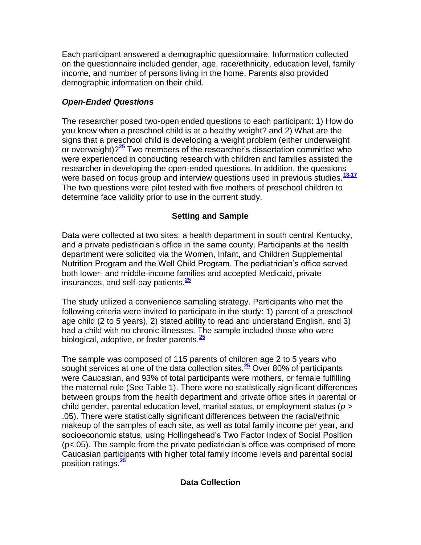Each participant answered a demographic questionnaire. Information collected on the questionnaire included gender, age, race/ethnicity, education level, family income, and number of persons living in the home. Parents also provided demographic information on their child.

# *Open-Ended Questions*

The researcher posed two-open ended questions to each participant: 1) How do you know when a preschool child is at a healthy weight? and 2) What are the signs that a preschool child is developing a weight problem (either underweight or overweight)?**[25](http://snrs.org/publications/SOJNR_articles2/n)** Two members of the researcher's dissertation committee who were experienced in conducting research with children and families assisted the researcher in developing the open-ended questions. In addition, the questions were based on focus group and interview questions used in previous studies.**[13-17](http://snrs.org/publications/SOJNR_articles2/n)** The two questions were pilot tested with five mothers of preschool children to determine face validity prior to use in the current study.

# **Setting and Sample**

Data were collected at two sites: a health department in south central Kentucky, and a private pediatrician's office in the same county. Participants at the health department were solicited via the Women, Infant, and Children Supplemental Nutrition Program and the Well Child Program. The pediatrician's office served both lower- and middle-income families and accepted Medicaid, private insurances, and self-pay patients.**[25](http://snrs.org/publications/SOJNR_articles2/n)**

The study utilized a convenience sampling strategy. Participants who met the following criteria were invited to participate in the study: 1) parent of a preschool age child (2 to 5 years), 2) stated ability to read and understand English, and 3) had a child with no chronic illnesses. The sample included those who were biological, adoptive, or foster parents.**[25](http://snrs.org/publications/SOJNR_articles2/n)**

The sample was composed of 115 parents of children age 2 to 5 years who sought services at one of the data collection sites.**[25](http://snrs.org/publications/SOJNR_articles2/n)** Over 80% of participants were Caucasian, and 93% of total participants were mothers, or female fulfilling the maternal role (See Table 1). There were no statistically significant differences between groups from the health department and private office sites in parental or child gender, parental education level, marital status, or employment status (*p* > .05). There were statistically significant differences between the racial/ethnic makeup of the samples of each site, as well as total family income per year, and socioeconomic status, using Hollingshead's Two Factor Index of Social Position (p<.05). The sample from the private pediatrician's office was comprised of more Caucasian participants with higher total family income levels and parental social position ratings.**[25](http://snrs.org/publications/SOJNR_articles2/n)**

## **Data Collection**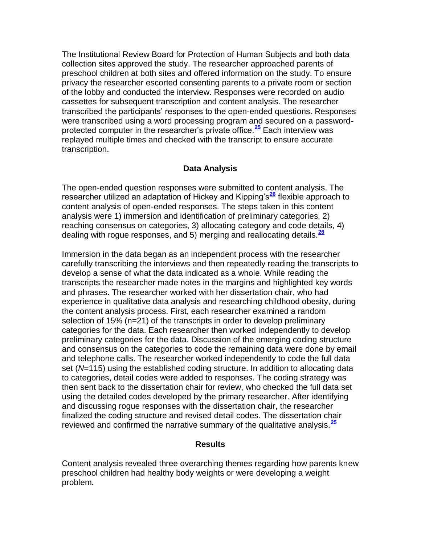The Institutional Review Board for Protection of Human Subjects and both data collection sites approved the study. The researcher approached parents of preschool children at both sites and offered information on the study. To ensure privacy the researcher escorted consenting parents to a private room or section of the lobby and conducted the interview. Responses were recorded on audio cassettes for subsequent transcription and content analysis. The researcher transcribed the participants' responses to the open-ended questions. Responses were transcribed using a word processing program and secured on a passwordprotected computer in the researcher's private office.**[25](http://snrs.org/publications/SOJNR_articles2/n)** Each interview was replayed multiple times and checked with the transcript to ensure accurate transcription.

#### **Data Analysis**

The open-ended question responses were submitted to content analysis. The researcher utilized an adaptation of Hickey and Kipping's**[26](http://snrs.org/publications/SOJNR_articles2/n)** flexible approach to content analysis of open-ended responses. The steps taken in this content analysis were 1) immersion and identification of preliminary categories, 2) reaching consensus on categories, 3) allocating category and code details, 4) dealing with rogue responses, and 5) merging and reallocating details.**[26](http://snrs.org/publications/SOJNR_articles2/n)**

Immersion in the data began as an independent process with the researcher carefully transcribing the interviews and then repeatedly reading the transcripts to develop a sense of what the data indicated as a whole. While reading the transcripts the researcher made notes in the margins and highlighted key words and phrases. The researcher worked with her dissertation chair, who had experience in qualitative data analysis and researching childhood obesity, during the content analysis process. First, each researcher examined a random selection of 15% (n=21) of the transcripts in order to develop preliminary categories for the data. Each researcher then worked independently to develop preliminary categories for the data. Discussion of the emerging coding structure and consensus on the categories to code the remaining data were done by email and telephone calls. The researcher worked independently to code the full data set (*N*=115) using the established coding structure. In addition to allocating data to categories, detail codes were added to responses. The coding strategy was then sent back to the dissertation chair for review, who checked the full data set using the detailed codes developed by the primary researcher. After identifying and discussing rogue responses with the dissertation chair, the researcher finalized the coding structure and revised detail codes. The dissertation chair reviewed and confirmed the narrative summary of the qualitative analysis.**[25](http://snrs.org/publications/SOJNR_articles2/n)**

#### **Results**

Content analysis revealed three overarching themes regarding how parents knew preschool children had healthy body weights or were developing a weight problem.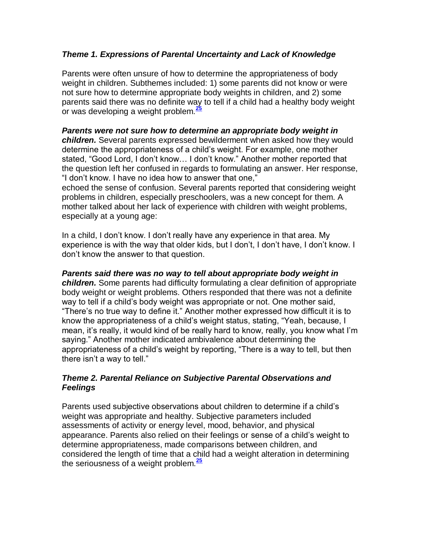## *Theme 1. Expressions of Parental Uncertainty and Lack of Knowledge*

Parents were often unsure of how to determine the appropriateness of body weight in children. Subthemes included: 1) some parents did not know or were not sure how to determine appropriate body weights in children, and 2) some parents said there was no definite way to tell if a child had a healthy body weight or was developing a weight problem.**[25](http://snrs.org/publications/SOJNR_articles2/n)**

#### *Parents were not sure how to determine an appropriate body weight in*

*children.* Several parents expressed bewilderment when asked how they would determine the appropriateness of a child's weight. For example, one mother stated, "Good Lord, I don't know… I don't know." Another mother reported that the question left her confused in regards to formulating an answer. Her response, "I don't know. I have no idea how to answer that one,"

echoed the sense of confusion. Several parents reported that considering weight problems in children, especially preschoolers, was a new concept for them. A mother talked about her lack of experience with children with weight problems, especially at a young age:

In a child, I don't know. I don't really have any experience in that area. My experience is with the way that older kids, but I don't, I don't have, I don't know. I don't know the answer to that question.

#### *Parents said there was no way to tell about appropriate body weight in children.* Some parents had difficulty formulating a clear definition of appropriate body weight or weight problems. Others responded that there was not a definite way to tell if a child's body weight was appropriate or not. One mother said, "There's no true way to define it." Another mother expressed how difficult it is to know the appropriateness of a child's weight status, stating, "Yeah, because, I mean, it's really, it would kind of be really hard to know, really, you know what I'm saying." Another mother indicated ambivalence about determining the appropriateness of a child's weight by reporting, "There is a way to tell, but then there isn't a way to tell."

#### *Theme 2. Parental Reliance on Subjective Parental Observations and Feelings*

Parents used subjective observations about children to determine if a child's weight was appropriate and healthy. Subjective parameters included assessments of activity or energy level, mood, behavior, and physical appearance. Parents also relied on their feelings or sense of a child's weight to determine appropriateness, made comparisons between children, and considered the length of time that a child had a weight alteration in determining the seriousness of a weight problem.**[25](http://snrs.org/publications/SOJNR_articles2/n)**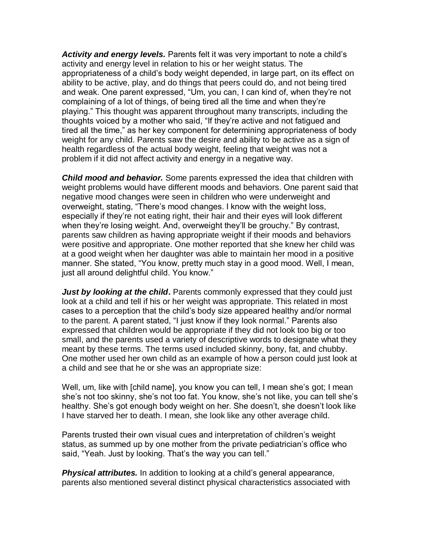*Activity and energy levels.* Parents felt it was very important to note a child's activity and energy level in relation to his or her weight status. The appropriateness of a child's body weight depended, in large part, on its effect on ability to be active, play, and do things that peers could do, and not being tired and weak. One parent expressed, "Um, you can, I can kind of, when they're not complaining of a lot of things, of being tired all the time and when they're playing." This thought was apparent throughout many transcripts, including the thoughts voiced by a mother who said, "If they're active and not fatigued and tired all the time," as her key component for determining appropriateness of body weight for any child. Parents saw the desire and ability to be active as a sign of health regardless of the actual body weight, feeling that weight was not a problem if it did not affect activity and energy in a negative way.

*Child mood and behavior.* Some parents expressed the idea that children with weight problems would have different moods and behaviors. One parent said that negative mood changes were seen in children who were underweight and overweight, stating, "There's mood changes. I know with the weight loss, especially if they're not eating right, their hair and their eyes will look different when they're losing weight. And, overweight they'll be grouchy." By contrast, parents saw children as having appropriate weight if their moods and behaviors were positive and appropriate. One mother reported that she knew her child was at a good weight when her daughter was able to maintain her mood in a positive manner. She stated, "You know, pretty much stay in a good mood. Well, I mean, just all around delightful child. You know."

*Just by looking at the child.* Parents commonly expressed that they could just look at a child and tell if his or her weight was appropriate. This related in most cases to a perception that the child's body size appeared healthy and/or normal to the parent. A parent stated, "I just know if they look normal." Parents also expressed that children would be appropriate if they did not look too big or too small, and the parents used a variety of descriptive words to designate what they meant by these terms. The terms used included skinny, bony, fat, and chubby. One mother used her own child as an example of how a person could just look at a child and see that he or she was an appropriate size:

Well, um, like with [child name], you know you can tell, I mean she's got; I mean she's not too skinny, she's not too fat. You know, she's not like, you can tell she's healthy. She's got enough body weight on her. She doesn't, she doesn't look like I have starved her to death. I mean, she look like any other average child.

Parents trusted their own visual cues and interpretation of children's weight status, as summed up by one mother from the private pediatrician's office who said, "Yeah. Just by looking. That's the way you can tell."

*Physical attributes.* In addition to looking at a child's general appearance, parents also mentioned several distinct physical characteristics associated with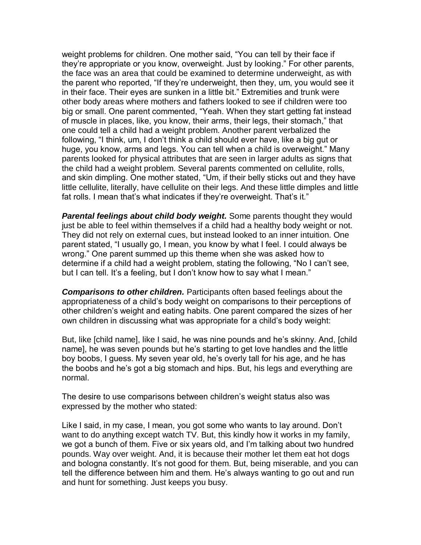weight problems for children. One mother said, "You can tell by their face if they're appropriate or you know, overweight. Just by looking." For other parents, the face was an area that could be examined to determine underweight, as with the parent who reported, "If they're underweight, then they, um, you would see it in their face. Their eyes are sunken in a little bit." Extremities and trunk were other body areas where mothers and fathers looked to see if children were too big or small. One parent commented, "Yeah. When they start getting fat instead of muscle in places, like, you know, their arms, their legs, their stomach," that one could tell a child had a weight problem. Another parent verbalized the following, "I think, um, I don't think a child should ever have, like a big gut or huge, you know, arms and legs. You can tell when a child is overweight." Many parents looked for physical attributes that are seen in larger adults as signs that the child had a weight problem. Several parents commented on cellulite, rolls, and skin dimpling. One mother stated, "Um, if their belly sticks out and they have little cellulite, literally, have cellulite on their legs. And these little dimples and little fat rolls. I mean that's what indicates if they're overweight. That's it."

**Parental feelings about child body weight.** Some parents thought they would just be able to feel within themselves if a child had a healthy body weight or not. They did not rely on external cues, but instead looked to an inner intuition. One parent stated, "I usually go, I mean, you know by what I feel. I could always be wrong." One parent summed up this theme when she was asked how to determine if a child had a weight problem, stating the following, "No I can't see, but I can tell. It's a feeling, but I don't know how to say what I mean."

*Comparisons to other children.* Participants often based feelings about the appropriateness of a child's body weight on comparisons to their perceptions of other children's weight and eating habits. One parent compared the sizes of her own children in discussing what was appropriate for a child's body weight:

But, like [child name], like I said, he was nine pounds and he's skinny. And, [child name], he was seven pounds but he's starting to get love handles and the little boy boobs, I guess. My seven year old, he's overly tall for his age, and he has the boobs and he's got a big stomach and hips. But, his legs and everything are normal.

The desire to use comparisons between children's weight status also was expressed by the mother who stated:

Like I said, in my case, I mean, you got some who wants to lay around. Don't want to do anything except watch TV. But, this kindly how it works in my family, we got a bunch of them. Five or six years old, and I'm talking about two hundred pounds. Way over weight. And, it is because their mother let them eat hot dogs and bologna constantly. It's not good for them. But, being miserable, and you can tell the difference between him and them. He's always wanting to go out and run and hunt for something. Just keeps you busy.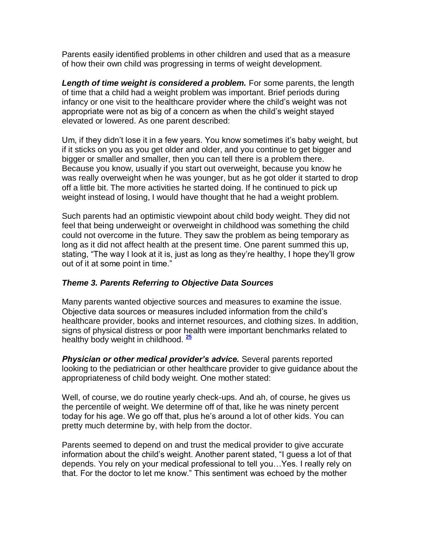Parents easily identified problems in other children and used that as a measure of how their own child was progressing in terms of weight development.

Length of time weight is considered a problem. For some parents, the length of time that a child had a weight problem was important. Brief periods during infancy or one visit to the healthcare provider where the child's weight was not appropriate were not as big of a concern as when the child's weight stayed elevated or lowered. As one parent described:

Um, if they didn't lose it in a few years. You know sometimes it's baby weight, but if it sticks on you as you get older and older, and you continue to get bigger and bigger or smaller and smaller, then you can tell there is a problem there. Because you know, usually if you start out overweight, because you know he was really overweight when he was younger, but as he got older it started to drop off a little bit. The more activities he started doing. If he continued to pick up weight instead of losing, I would have thought that he had a weight problem.

Such parents had an optimistic viewpoint about child body weight. They did not feel that being underweight or overweight in childhood was something the child could not overcome in the future. They saw the problem as being temporary as long as it did not affect health at the present time. One parent summed this up, stating, "The way I look at it is, just as long as they're healthy, I hope they'll grow out of it at some point in time."

## *Theme 3. Parents Referring to Objective Data Sources*

Many parents wanted objective sources and measures to examine the issue. Objective data sources or measures included information from the child's healthcare provider, books and internet resources, and clothing sizes. In addition, signs of physical distress or poor health were important benchmarks related to healthy body weight in childhood. **[25](http://snrs.org/publications/SOJNR_articles2/n)**

*Physician or other medical provider's advice.* Several parents reported looking to the pediatrician or other healthcare provider to give guidance about the appropriateness of child body weight. One mother stated:

Well, of course, we do routine yearly check-ups. And ah, of course, he gives us the percentile of weight. We determine off of that, like he was ninety percent today for his age. We go off that, plus he's around a lot of other kids. You can pretty much determine by, with help from the doctor.

Parents seemed to depend on and trust the medical provider to give accurate information about the child's weight. Another parent stated, "I guess a lot of that depends. You rely on your medical professional to tell you…Yes. I really rely on that. For the doctor to let me know." This sentiment was echoed by the mother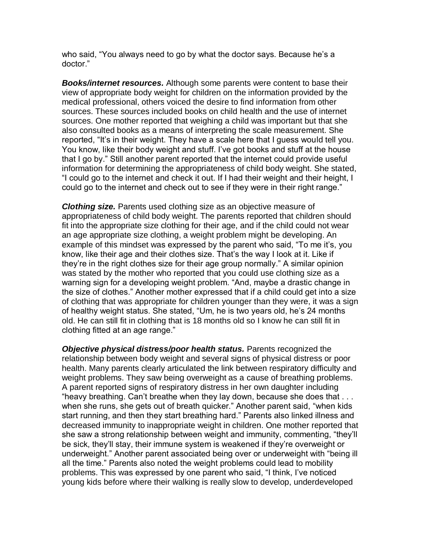who said, "You always need to go by what the doctor says. Because he's a doctor."

*Books/internet resources.* Although some parents were content to base their view of appropriate body weight for children on the information provided by the medical professional, others voiced the desire to find information from other sources. These sources included books on child health and the use of internet sources. One mother reported that weighing a child was important but that she also consulted books as a means of interpreting the scale measurement. She reported, "It's in their weight. They have a scale here that I guess would tell you. You know, like their body weight and stuff. I've got books and stuff at the house that I go by." Still another parent reported that the internet could provide useful information for determining the appropriateness of child body weight. She stated, "I could go to the internet and check it out. If I had their weight and their height, I could go to the internet and check out to see if they were in their right range."

*Clothing size.* Parents used clothing size as an objective measure of appropriateness of child body weight. The parents reported that children should fit into the appropriate size clothing for their age, and if the child could not wear an age appropriate size clothing, a weight problem might be developing. An example of this mindset was expressed by the parent who said, "To me it's, you know, like their age and their clothes size. That's the way I look at it. Like if they're in the right clothes size for their age group normally." A similar opinion was stated by the mother who reported that you could use clothing size as a warning sign for a developing weight problem. "And, maybe a drastic change in the size of clothes." Another mother expressed that if a child could get into a size of clothing that was appropriate for children younger than they were, it was a sign of healthy weight status. She stated, "Um, he is two years old, he's 24 months old. He can still fit in clothing that is 18 months old so I know he can still fit in clothing fitted at an age range."

*Objective physical distress/poor health status.* **Parents recognized the** relationship between body weight and several signs of physical distress or poor health. Many parents clearly articulated the link between respiratory difficulty and weight problems. They saw being overweight as a cause of breathing problems. A parent reported signs of respiratory distress in her own daughter including "heavy breathing. Can't breathe when they lay down, because she does that . . . when she runs, she gets out of breath quicker." Another parent said, "when kids start running, and then they start breathing hard." Parents also linked illness and decreased immunity to inappropriate weight in children. One mother reported that she saw a strong relationship between weight and immunity, commenting, "they'll be sick, they'll stay, their immune system is weakened if they're overweight or underweight." Another parent associated being over or underweight with "being ill all the time." Parents also noted the weight problems could lead to mobility problems. This was expressed by one parent who said, "I think, I've noticed young kids before where their walking is really slow to develop, underdeveloped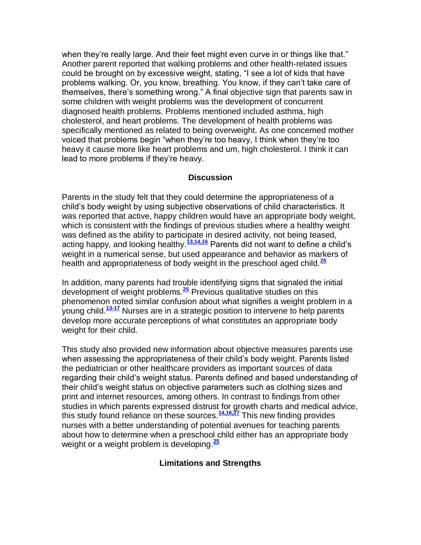when they're really large. And their feet might even curve in or things like that." Another parent reported that walking problems and other health-related issues could be brought on by excessive weight, stating, "I see a lot of kids that have problems walking. Or, you know, breathing. You know, if they can't take care of themselves, there's something wrong." A final objective sign that parents saw in some children with weight problems was the development of concurrent diagnosed health problems. Problems mentioned included asthma, high cholesterol, and heart problems. The development of health problems was specifically mentioned as related to being overweight. As one concerned mother voiced that problems begin "when they're too heavy, I think when they're too heavy it cause more like heart problems and um, high cholesterol. I think it can lead to more problems if they're heavy.

#### **Discussion**

Parents in the study felt that they could determine the appropriateness of a child's body weight by using subjective observations of child characteristics. It was reported that active, happy children would have an appropriate body weight, which is consistent with the findings of previous studies where a healthy weight was defined as the ability to participate in desired activity, not being teased, acting happy, and looking healthy.**[13,14,16](http://snrs.org/publications/SOJNR_articles2/n)** Parents did not want to define a child's weight in a numerical sense, but used appearance and behavior as markers of health and appropriateness of body weight in the preschool aged child.**[25](http://snrs.org/publications/SOJNR_articles2/n)**

In addition, many parents had trouble identifying signs that signaled the initial development of weight problems.**[25](http://snrs.org/publications/SOJNR_articles2/n)** Previous qualitative studies on this phenomenon noted similar confusion about what signifies a weight problem in a young child.**[13-17](http://snrs.org/publications/SOJNR_articles2/n)** Nurses are in a strategic position to intervene to help parents develop more accurate perceptions of what constitutes an appropriate body weight for their child.

This study also provided new information about objective measures parents use when assessing the appropriateness of their child's body weight. Parents listed the pediatrician or other healthcare providers as important sources of data regarding their child's weight status. Parents defined and based understanding of their child's weight status on objective parameters such as clothing sizes and print and internet resources, among others. In contrast to findings from other studies in which parents expressed distrust for growth charts and medical advice, this study found reliance on these sources.**[14,16,27](http://snrs.org/publications/SOJNR_articles2/n)** This new finding provides nurses with a better understanding of potential avenues for teaching parents about how to determine when a preschool child either has an appropriate body weight or a weight problem is developing.**[25](http://snrs.org/publications/SOJNR_articles2/n)**

#### **Limitations and Strengths**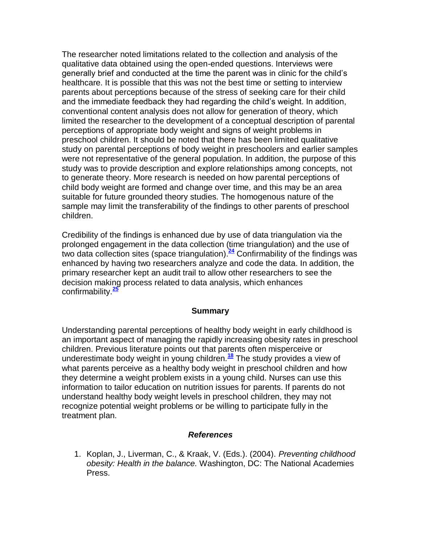The researcher noted limitations related to the collection and analysis of the qualitative data obtained using the open-ended questions. Interviews were generally brief and conducted at the time the parent was in clinic for the child's healthcare. It is possible that this was not the best time or setting to interview parents about perceptions because of the stress of seeking care for their child and the immediate feedback they had regarding the child's weight. In addition, conventional content analysis does not allow for generation of theory, which limited the researcher to the development of a conceptual description of parental perceptions of appropriate body weight and signs of weight problems in preschool children. It should be noted that there has been limited qualitative study on parental perceptions of body weight in preschoolers and earlier samples were not representative of the general population. In addition, the purpose of this study was to provide description and explore relationships among concepts, not to generate theory. More research is needed on how parental perceptions of child body weight are formed and change over time, and this may be an area suitable for future grounded theory studies. The homogenous nature of the sample may limit the transferability of the findings to other parents of preschool children.

Credibility of the findings is enhanced due by use of data triangulation via the prolonged engagement in the data collection (time triangulation) and the use of two data collection sites (space triangulation).**[24](http://snrs.org/publications/SOJNR_articles2/n)** Confirmability of the findings was enhanced by having two researchers analyze and code the data. In addition, the primary researcher kept an audit trail to allow other researchers to see the decision making process related to data analysis, which enhances confirmability.**[25](http://snrs.org/publications/SOJNR_articles2/n)**

#### **Summary**

Understanding parental perceptions of healthy body weight in early childhood is an important aspect of managing the rapidly increasing obesity rates in preschool children. Previous literature points out that parents often misperceive or underestimate body weight in young children.**[18](http://snrs.org/publications/SOJNR_articles2/n)** The study provides a view of what parents perceive as a healthy body weight in preschool children and how they determine a weight problem exists in a young child. Nurses can use this information to tailor education on nutrition issues for parents. If parents do not understand healthy body weight levels in preschool children, they may not recognize potential weight problems or be willing to participate fully in the treatment plan.

#### *References*

1. Koplan, J., Liverman, C., & Kraak, V. (Eds.). (2004). *Preventing childhood obesity: Health in the balance.* Washington, DC: The National Academies Press.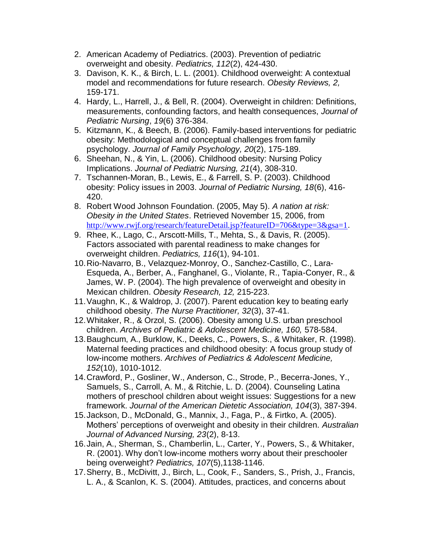- 2. American Academy of Pediatrics. (2003). Prevention of pediatric overweight and obesity. *Pediatrics, 112*(2), 424-430.
- 3. Davison, K. K., & Birch, L. L. (2001). Childhood overweight: A contextual model and recommendations for future research. *Obesity Reviews, 2,* 159-171.
- 4. Hardy, L., Harrell, J., & Bell, R. (2004). Overweight in children: Definitions, measurements, confounding factors, and health consequences, *Journal of Pediatric Nursing*, *19*(6) 376-384.
- 5. Kitzmann, K., & Beech, B. (2006). Family-based interventions for pediatric obesity: Methodological and conceptual challenges from family psychology. *Journal of Family Psychology, 20*(2), 175-189.
- 6. Sheehan, N., & Yin, L. (2006). Childhood obesity: Nursing Policy Implications. *Journal of Pediatric Nursing, 21*(4), 308-310.
- 7. Tschannen-Moran, B., Lewis, E., & Farrell, S. P. (2003). Childhood obesity: Policy issues in 2003. *Journal of Pediatric Nursing, 18*(6), 416- 420.
- 8. Robert Wood Johnson Foundation. (2005, May 5). *A nation at risk: Obesity in the United States*. Retrieved November 15, 2006, from <http://www.rwjf.org/research/featureDetail.jsp?featureID=706&type=3&gsa=1>.
- 9. Rhee, K., Lago, C., Arscott-Mills, T., Mehta, S., & Davis, R. (2005). Factors associated with parental readiness to make changes for overweight children. *Pediatrics, 116*(1), 94-101.
- 10.Rio-Navarro, B., Velazquez-Monroy, O., Sanchez-Castillo, C., Lara-Esqueda, A., Berber, A., Fanghanel, G., Violante, R., Tapia-Conyer, R., & James, W. P. (2004). The high prevalence of overweight and obesity in Mexican children. *Obesity Research, 12,* 215-223.
- 11.Vaughn, K., & Waldrop, J. (2007). Parent education key to beating early childhood obesity. *The Nurse Practitioner, 32*(3), 37-41.
- 12.Whitaker, R., & Orzol, S. (2006). Obesity among U.S. urban preschool children. *Archives of Pediatric & Adolescent Medicine, 160,* 578-584.
- 13.Baughcum, A., Burklow, K., Deeks, C., Powers, S., & Whitaker, R. (1998). Maternal feeding practices and childhood obesity: A focus group study of low-income mothers. *Archives of Pediatrics & Adolescent Medicine, 152*(10), 1010-1012.
- 14.Crawford, P., Gosliner, W., Anderson, C., Strode, P., Becerra-Jones, Y., Samuels, S., Carroll, A. M., & Ritchie, L. D. (2004). Counseling Latina mothers of preschool children about weight issues: Suggestions for a new framework. *Journal of the American Dietetic Association, 104*(3), 387-394.
- 15.Jackson, D., McDonald, G., Mannix, J., Faga, P., & Firtko, A. (2005). Mothers' perceptions of overweight and obesity in their children. *Australian Journal of Advanced Nursing, 23*(2), 8-13.
- 16.Jain, A., Sherman, S., Chamberlin, L., Carter, Y., Powers, S., & Whitaker, R. (2001). Why don't low-income mothers worry about their preschooler being overweight? *Pediatrics, 107*(5),1138-1146.
- 17.Sherry, B., McDivitt, J., Birch, L., Cook, F., Sanders, S., Prish, J., Francis, L. A., & Scanlon, K. S. (2004). Attitudes, practices, and concerns about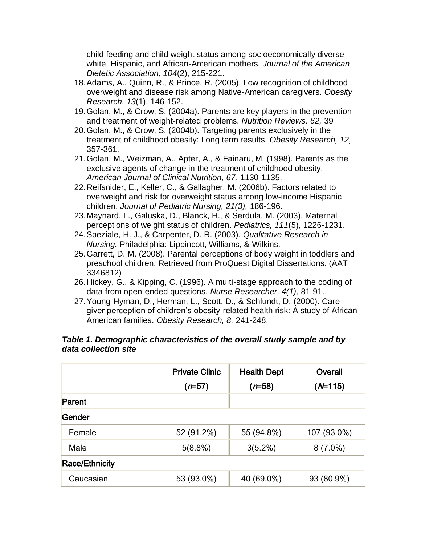child feeding and child weight status among socioeconomically diverse white, Hispanic, and African-American mothers. *Journal of the American Dietetic Association, 104*(2), 215-221.

- 18.Adams, A., Quinn, R., & Prince, R. (2005). Low recognition of childhood overweight and disease risk among Native-American caregivers. *Obesity Research, 13*(1), 146-152.
- 19.Golan, M., & Crow, S. (2004a). Parents are key players in the prevention and treatment of weight-related problems. *Nutrition Reviews, 62,* 39
- 20.Golan, M., & Crow, S. (2004b). Targeting parents exclusively in the treatment of childhood obesity: Long term results. *Obesity Research, 12,* 357-361.
- 21.Golan, M., Weizman, A., Apter, A., & Fainaru, M. (1998). Parents as the exclusive agents of change in the treatment of childhood obesity. *American Journal of Clinical Nutrition, 67*, 1130-1135.
- 22.Reifsnider, E., Keller, C., & Gallagher, M. (2006b). Factors related to overweight and risk for overweight status among low-income Hispanic children. *Journal of Pediatric Nursing, 21(3),* 186-196.
- 23.Maynard, L., Galuska, D., Blanck, H., & Serdula, M. (2003). Maternal perceptions of weight status of children. *Pediatrics, 111*(5), 1226-1231.
- 24.Speziale, H. J., & Carpenter, D. R. (2003). *Qualitative Research in Nursing.* Philadelphia: Lippincott, Williams, & Wilkins.
- 25.Garrett, D. M. (2008). Parental perceptions of body weight in toddlers and preschool children. Retrieved from ProQuest Digital Dissertations. (AAT 3346812)
- 26.Hickey, G., & Kipping, C. (1996). A multi-stage approach to the coding of data from open-ended questions. *Nurse Researcher, 4(1),* 81-91.
- 27.Young-Hyman, D., Herman, L., Scott, D., & Schlundt, D. (2000). Care giver perception of children's obesity-related health risk: A study of African American families. *Obesity Research, 8,* 241-248.

## *Table 1. Demographic characteristics of the overall study sample and by data collection site*

|                       | <b>Private Clinic</b> | <b>Health Dept</b> | Overall     |
|-----------------------|-----------------------|--------------------|-------------|
|                       | $(r=57)$              | $(r=58)$           | $(M=115)$   |
| Parent                |                       |                    |             |
| Gender                |                       |                    |             |
| Female                | 52 (91.2%)            | 55 (94.8%)         | 107 (93.0%) |
| Male                  | 5(8.8%)               | $3(5.2\%)$         | $8(7.0\%)$  |
| <b>Race/Ethnicity</b> |                       |                    |             |
| Caucasian             | 53 (93.0%)            | 40 (69.0%)         | 93 (80.9%)  |